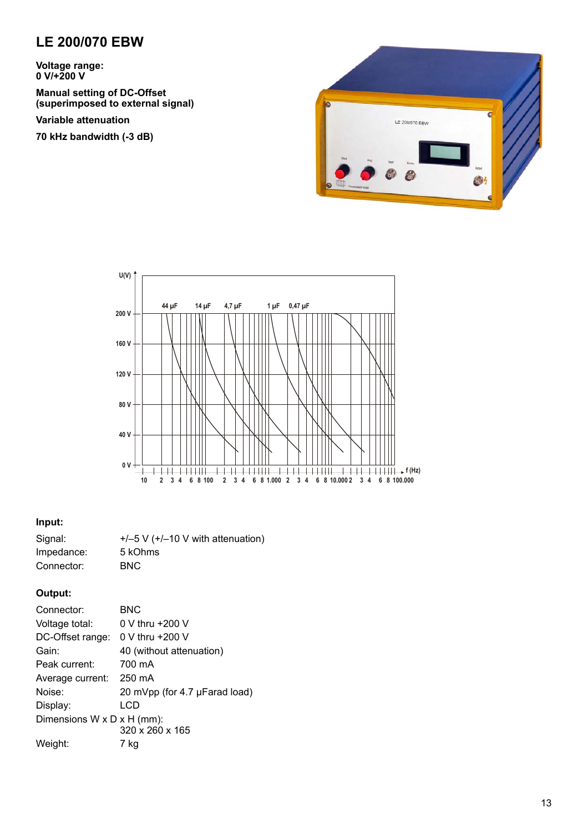## **LE 200/070 EBW**

**Voltage range: 0 V/+200 V**

**Manual setting of DC-Offset (superimposed to external signal)**

**Variable attenuation** 

**70 kHz bandwidth (-3 dB)**





### **Input:**

| Signal:    | $+/-5$ V ( $+/-10$ V with attenuation) |
|------------|----------------------------------------|
| Impedance: | 5 kOhms                                |
| Connector: | <b>BNC</b>                             |

### **Output:**

| Connector:                 | BNC                           |
|----------------------------|-------------------------------|
| Voltage total:             | $0 \vee$ thru $+200 \vee$     |
| DC-Offset range:           | $0 \vee$ thru +200 V          |
| Gain:                      | 40 (without attenuation)      |
| Peak current:              | 700 mA                        |
| Average current: 250 mA    |                               |
| Noise:                     | 20 mVpp (for 4.7 µFarad load) |
| Display:                   | LCD                           |
| Dimensions W x D x H (mm): |                               |
|                            | 320 x 260 x 165               |
| Weight:                    | 7 ka                          |
|                            |                               |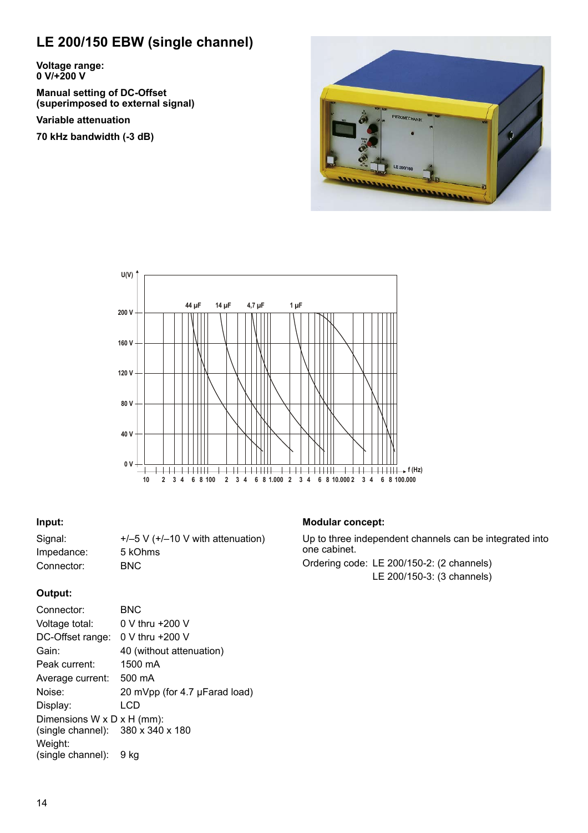# **LE 200/150 EBW (single channel)**

**Voltage range: 0 V/+200 V**

**Manual setting of DC-Offset (superimposed to external signal)**

**Variable attenuation**

**70 kHz bandwidth (-3 dB)**





#### **Input:**

Signal:  $+/-5$  V  $(+/-10$  V with attenuation) Impedance: 5 kOhms Connector: BNC

## **Output:**

| Connector:                                                      | BNC                           |
|-----------------------------------------------------------------|-------------------------------|
| Voltage total:                                                  | 0 V thru +200 V               |
| DC-Offset range:                                                | $0 \vee$ thru $+200 \vee$     |
| Gain:                                                           | 40 (without attenuation)      |
| Peak current:                                                   | 1500 mA                       |
| Average current:                                                | 500 mA                        |
| Noise:                                                          | 20 mVpp (for 4.7 µFarad load) |
| Display:                                                        | LCD                           |
| Dimensions W x D x H (mm):<br>(single channel): 380 x 340 x 180 |                               |
| Weight:<br>(single channel):                                    | 9 ka                          |

## **Modular concept:**

Up to three independent channels can be integrated into one cabinet.

Ordering code: LE 200/150-2: (2 channels) LE 200/150-3: (3 channels)